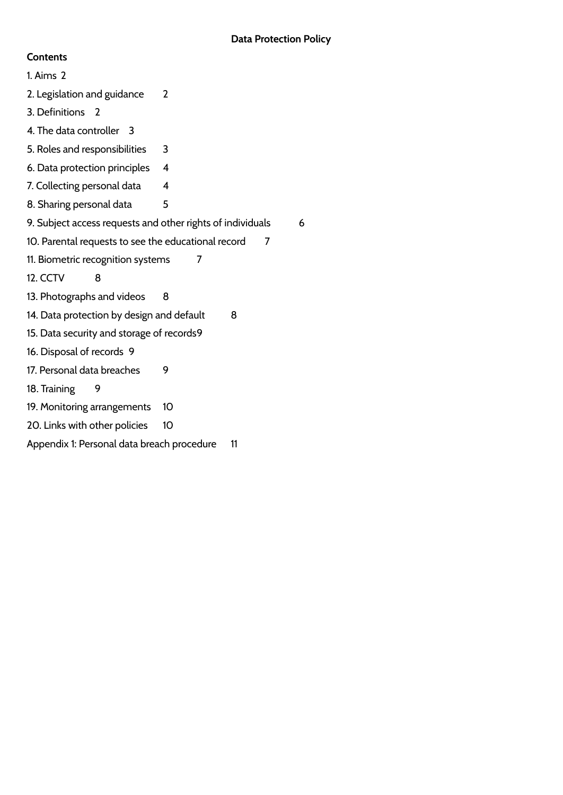### **Contents**

<span id="page-0-0"></span>1. Aims [2](#page-0-0) 2. Legislation and guidance 2 3. Definitions 2 4. The data controller 3 5. Roles and responsibilities [3](#page-2-0) 6. Data protection principles [4](#page-3-0) 7. Collecting personal data [4](#page-3-1) 8. Sharing personal data [5](#page-4-0) 9. Subject access requests and other rights of individuals [6](#page-4-1) 10. Parental requests to see the educational record [7](#page-6-0) 11. Biometric recognition systems [7](#page-6-1) 12. CCTV [8](#page-7-0) 13. Photographs and videos [8](#page-7-1) 14. Data protection by design and default [8](#page-7-2) 15. Data security and storage of records9 16. Disposal of records [9](#page-8-0) 17. Personal data breaches [9](#page-8-1) 18. Training 9 19. Monitoring arrangements 10 20. Links with other policies 10 Appendix 1: Personal data breach procedure [11](#page-10-0)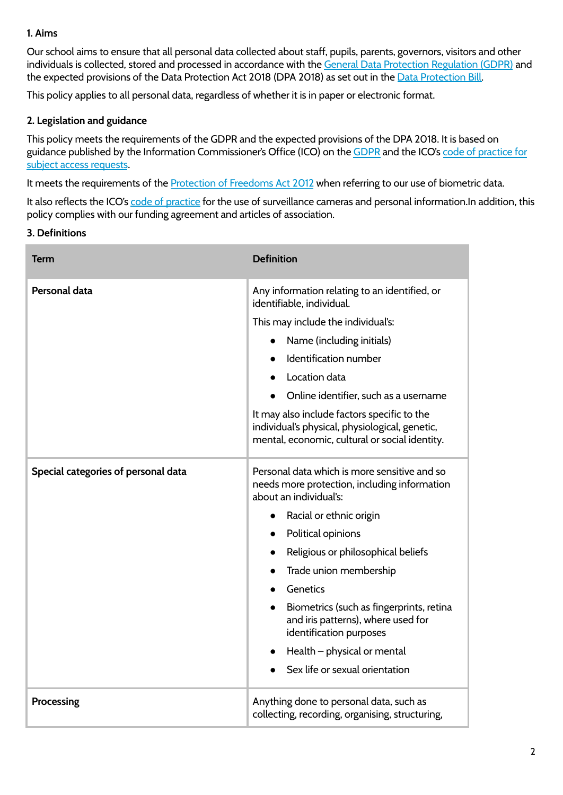### **1. Aims**

Our school aims to ensure that all personal data collected about staff, pupils, parents, governors, visitors and other individuals is collected, stored and processed in accordance with the General Data Protection [Regulation](http://data.consilium.europa.eu/doc/document/ST-5419-2016-INIT/en/pdf) (GDPR) and the expected provisions of the Data [Protection](https://publications.parliament.uk/pa/bills/cbill/2017-2019/0153/18153.pdf) Act 2018 (DPA 2018) as set out in the Data Protection Bill.

This policy applies to all personal data, regardless of whether it is in paper or electronic format.

### **2. Legislation and guidance**

This policy meets the requirements of the GDPR and the expected provisions of the DPA 2018. It is based on guidance published by the Information Commissioner's Office (ICO) on the [GDPR](https://ico.org.uk/for-organisations/guide-to-the-general-data-protection-regulation-gdpr/) and the ICO's code of [practice](https://ico.org.uk/media/for-organisations/documents/2014223/subject-access-code-of-practice.pdf) for subject access [requests](https://ico.org.uk/media/for-organisations/documents/2014223/subject-access-code-of-practice.pdf).

It meets the requirements of the [Protection](https://www.legislation.gov.uk/ukpga/2012/9/part/1/chapter/2) of Freedoms Act 2012 when referring to our use of biometric data.

It also reflects the ICO's code of [practice](https://ico.org.uk/media/for-organisations/documents/1542/cctv-code-of-practice.pdf) for the use of surveillance cameras and personal information.In addition, this policy complies with our funding agreement and articles of association.

#### **3. Definitions**

| <b>Term</b>                         | <b>Definition</b>                                                                                                                               |
|-------------------------------------|-------------------------------------------------------------------------------------------------------------------------------------------------|
| Personal data                       | Any information relating to an identified, or<br>identifiable, individual.                                                                      |
|                                     | This may include the individual's:                                                                                                              |
|                                     | Name (including initials)                                                                                                                       |
|                                     | Identification number                                                                                                                           |
|                                     | Location data                                                                                                                                   |
|                                     | Online identifier, such as a username                                                                                                           |
|                                     | It may also include factors specific to the<br>individual's physical, physiological, genetic,<br>mental, economic, cultural or social identity. |
| Special categories of personal data | Personal data which is more sensitive and so<br>needs more protection, including information<br>about an individual's:                          |
|                                     | Racial or ethnic origin<br>$\bullet$                                                                                                            |
|                                     | Political opinions                                                                                                                              |
|                                     | Religious or philosophical beliefs                                                                                                              |
|                                     | Trade union membership                                                                                                                          |
|                                     | Genetics                                                                                                                                        |
|                                     | Biometrics (such as fingerprints, retina<br>and iris patterns), where used for<br>identification purposes                                       |
|                                     | Health - physical or mental                                                                                                                     |
|                                     | Sex life or sexual orientation                                                                                                                  |
| Processing                          | Anything done to personal data, such as<br>collecting, recording, organising, structuring,                                                      |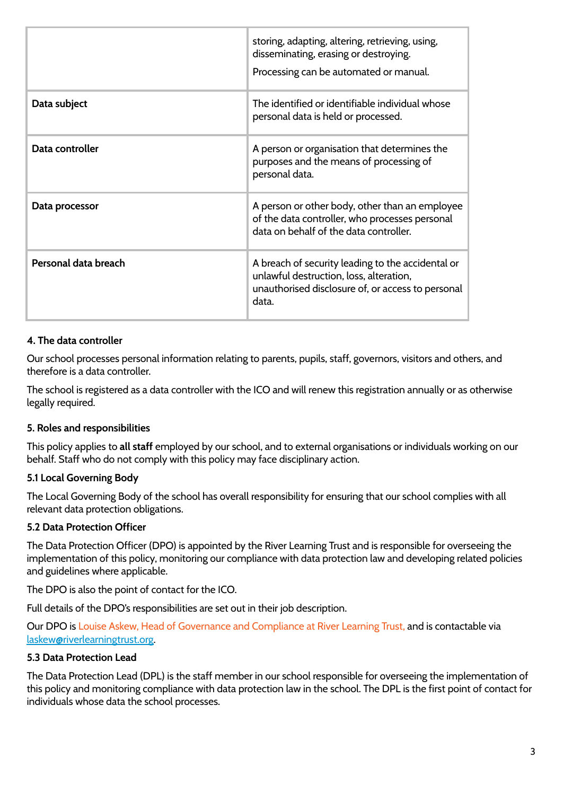|                      | storing, adapting, altering, retrieving, using,<br>disseminating, erasing or destroying.<br>Processing can be automated or manual.                         |
|----------------------|------------------------------------------------------------------------------------------------------------------------------------------------------------|
| Data subject         | The identified or identifiable individual whose<br>personal data is held or processed.                                                                     |
| Data controller      | A person or organisation that determines the<br>purposes and the means of processing of<br>personal data.                                                  |
| Data processor       | A person or other body, other than an employee<br>of the data controller, who processes personal<br>data on behalf of the data controller.                 |
| Personal data breach | A breach of security leading to the accidental or<br>unlawful destruction, loss, alteration,<br>unauthorised disclosure of, or access to personal<br>data. |

#### **4. The data controller**

Our school processes personal information relating to parents, pupils, staff, governors, visitors and others, and therefore is a data controller.

<span id="page-2-0"></span>The school is registered as a data controller with the ICO and will renew this registration annually or as otherwise legally required.

#### **5. Roles and responsibilities**

This policy applies to **all staff** employed by our school, and to external organisations or individuals working on our behalf. Staff who do not comply with this policy may face disciplinary action.

#### **5.1 Local Governing Body**

The Local Governing Body of the school has overall responsibility for ensuring that our school complies with all relevant data protection obligations.

#### **5.2 Data Protection Officer**

The Data Protection Officer (DPO) is appointed by the River Learning Trust and is responsible for overseeing the implementation of this policy, monitoring our compliance with data protection law and developing related policies and guidelines where applicable.

The DPO is also the point of contact for the ICO.

Full details of the DPO's responsibilities are set out in their job description.

Our DPO is Louise Askew, Head of Governance and Compliance at River Learning Trust, and is contactable via [laskew@riverlearningtrust.org.](mailto:laskew@riverlearningtrust.org)

# **5.3 Data Protection Lead**

The Data Protection Lead (DPL) is the staff member in our school responsible for overseeing the implementation of this policy and monitoring compliance with data protection law in the school. The DPL is the first point of contact for individuals whose data the school processes.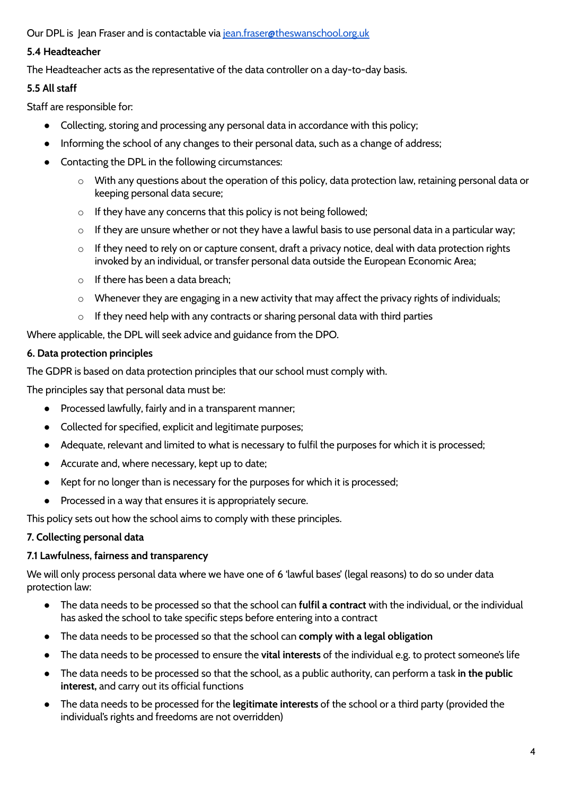Our DPL is Jean Fraser and is contactable via [jean.fraser@theswanschool.org.uk](mailto:jean.fraser@theswanschool.org.uk)

# **5.4 Headteacher**

The Headteacher acts as the representative of the data controller on a day-to-day basis.

# **5.5 All staff**

Staff are responsible for:

- Collecting, storing and processing any personal data in accordance with this policy;
- Informing the school of any changes to their personal data, such as a change of address;
- Contacting the DPL in the following circumstances:
	- o With any questions about the operation of this policy, data protection law, retaining personal data or keeping personal data secure;
	- $\circ$  If they have any concerns that this policy is not being followed;
	- $\circ$  If they are unsure whether or not they have a lawful basis to use personal data in a particular way;
	- $\circ$  If they need to rely on or capture consent, draft a privacy notice, deal with data protection rights invoked by an individual, or transfer personal data outside the European Economic Area;
	- $\circ$  If there has been a data breach;
	- $\circ$  Whenever they are engaging in a new activity that may affect the privacy rights of individuals;
	- $\circ$  If they need help with any contracts or sharing personal data with third parties

<span id="page-3-0"></span>Where applicable, the DPL will seek advice and guidance from the DPO.

## **6. Data protection principles**

The GDPR is based on data protection principles that our school must comply with.

The principles say that personal data must be:

- Processed lawfully, fairly and in a transparent manner;
- Collected for specified, explicit and legitimate purposes;
- Adequate, relevant and limited to what is necessary to fulfil the purposes for which it is processed;
- Accurate and, where necessary, kept up to date;
- Kept for no longer than is necessary for the purposes for which it is processed;
- Processed in a way that ensures it is appropriately secure.

<span id="page-3-1"></span>This policy sets out how the school aims to comply with these principles.

# **7. Collecting personal data**

# **7.1 Lawfulness, fairness and transparency**

We will only process personal data where we have one of 6 'lawful bases' (legal reasons) to do so under data protection law:

- The data needs to be processed so that the school can **fulfil a contract** with the individual, or the individual has asked the school to take specific steps before entering into a contract
- The data needs to be processed so that the school can **comply with a legal obligation**
- The data needs to be processed to ensure the **vital interests** of the individual e.g. to protect someone's life
- The data needs to be processed so that the school, as a public authority, can perform a task **in the public interest,** and carry out its official functions
- The data needs to be processed for the **legitimate interests** of the school or a third party (provided the individual's rights and freedoms are not overridden)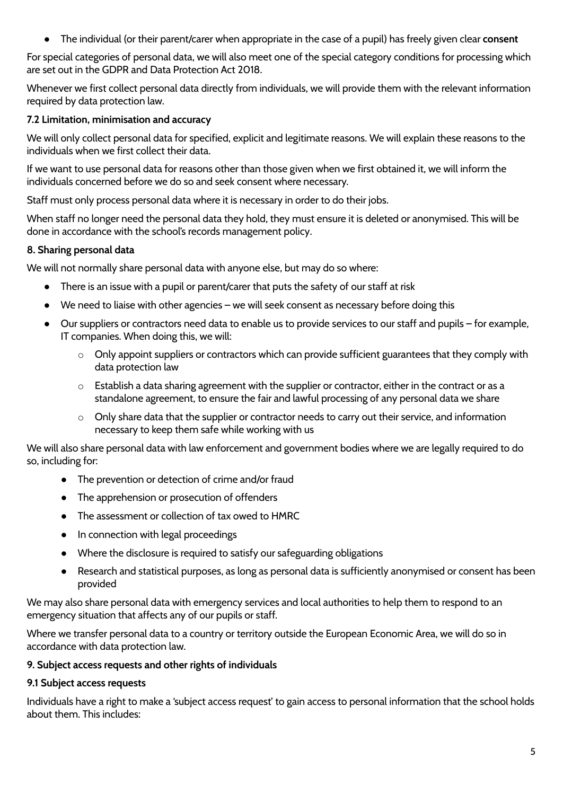● The individual (or their parent/carer when appropriate in the case of a pupil) has freely given clear **consent**

For special categories of personal data, we will also meet one of the special category conditions for processing which are set out in the GDPR and Data Protection Act 2018.

Whenever we first collect personal data directly from individuals, we will provide them with the relevant information required by data protection law.

## **7.2 Limitation, minimisation and accuracy**

We will only collect personal data for specified, explicit and legitimate reasons. We will explain these reasons to the individuals when we first collect their data.

If we want to use personal data for reasons other than those given when we first obtained it, we will inform the individuals concerned before we do so and seek consent where necessary.

Staff must only process personal data where it is necessary in order to do their jobs.

<span id="page-4-0"></span>When staff no longer need the personal data they hold, they must ensure it is deleted or anonymised. This will be done in accordance with the school's records management policy.

### **8. Sharing personal data**

We will not normally share personal data with anyone else, but may do so where:

- There is an issue with a pupil or parent/carer that puts the safety of our staff at risk
- We need to liaise with other agencies we will seek consent as necessary before doing this
- Our suppliers or contractors need data to enable us to provide services to our staff and pupils for example, IT companies. When doing this, we will:
	- $\circ$  Only appoint suppliers or contractors which can provide sufficient guarantees that they comply with data protection law
	- o Establish a data sharing agreement with the supplier or contractor, either in the contract or as a standalone agreement, to ensure the fair and lawful processing of any personal data we share
	- o Only share data that the supplier or contractor needs to carry out their service, and information necessary to keep them safe while working with us

We will also share personal data with law enforcement and government bodies where we are legally required to do so, including for:

- The prevention or detection of crime and/or fraud
- The apprehension or prosecution of offenders
- The assessment or collection of tax owed to HMRC
- In connection with legal proceedings
- Where the disclosure is required to satisfy our safeguarding obligations
- Research and statistical purposes, as long as personal data is sufficiently anonymised or consent has been provided

We may also share personal data with emergency services and local authorities to help them to respond to an emergency situation that affects any of our pupils or staff.

<span id="page-4-1"></span>Where we transfer personal data to a country or territory outside the European Economic Area, we will do so in accordance with data protection law.

### **9. Subject access requests and other rights of individuals**

### **9.1 Subject access requests**

Individuals have a right to make a 'subject access request' to gain access to personal information that the school holds about them. This includes: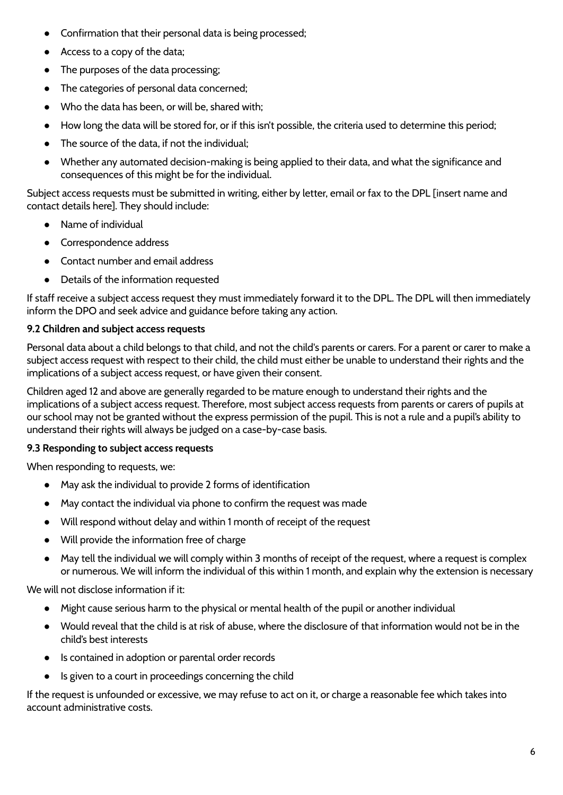- Confirmation that their personal data is being processed;
- Access to a copy of the data;
- The purposes of the data processing;
- The categories of personal data concerned;
- Who the data has been, or will be, shared with;
- How long the data will be stored for, or if this isn't possible, the criteria used to determine this period;
- The source of the data, if not the individual;
- Whether any automated decision-making is being applied to their data, and what the significance and consequences of this might be for the individual.

Subject access requests must be submitted in writing, either by letter, email or fax to the DPL [insert name and contact details here]. They should include:

- Name of individual
- Correspondence address
- Contact number and email address
- Details of the information requested

If staff receive a subject access request they must immediately forward it to the DPL. The DPL will then immediately inform the DPO and seek advice and guidance before taking any action.

# **9.2 Children and subject access requests**

Personal data about a child belongs to that child, and not the child's parents or carers. For a parent or carer to make a subject access request with respect to their child, the child must either be unable to understand their rights and the implications of a subject access request, or have given their consent.

Children aged 12 and above are generally regarded to be mature enough to understand their rights and the implications of a subject access request. Therefore, most subject access requests from parents or carers of pupils at our school may not be granted without the express permission of the pupil. This is not a rule and a pupil's ability to understand their rights will always be judged on a case-by-case basis.

# **9.3 Responding to subject access requests**

When responding to requests, we:

- May ask the individual to provide 2 forms of identification
- May contact the individual via phone to confirm the request was made
- Will respond without delay and within 1 month of receipt of the request
- Will provide the information free of charge
- May tell the individual we will comply within 3 months of receipt of the request, where a request is complex or numerous. We will inform the individual of this within 1 month, and explain why the extension is necessary

We will not disclose information if it:

- Might cause serious harm to the physical or mental health of the pupil or another individual
- Would reveal that the child is at risk of abuse, where the disclosure of that information would not be in the child's best interests
- Is contained in adoption or parental order records
- Is given to a court in proceedings concerning the child

If the request is unfounded or excessive, we may refuse to act on it, or charge a reasonable fee which takes into account administrative costs.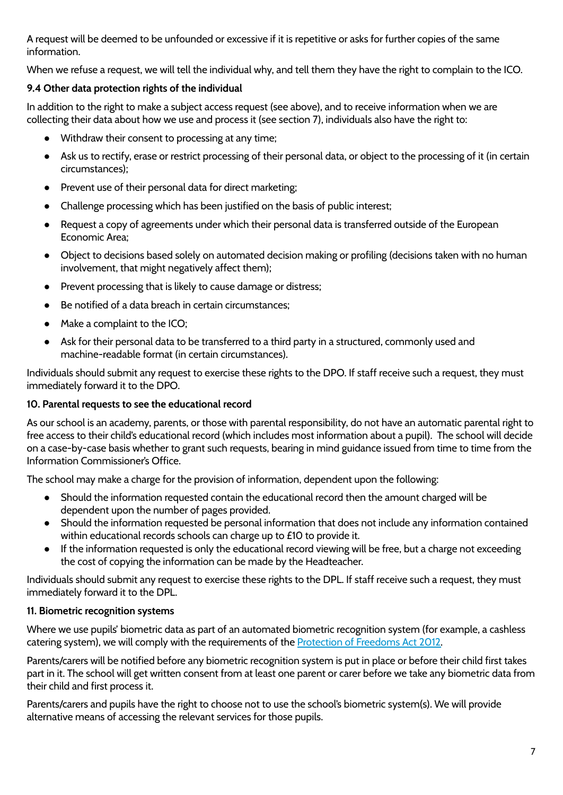A request will be deemed to be unfounded or excessive if it is repetitive or asks for further copies of the same information.

When we refuse a request, we will tell the individual why, and tell them they have the right to complain to the ICO.

# **9.4 Other data protection rights of the individual**

In addition to the right to make a subject access request (see above), and to receive information when we are collecting their data about how we use and process it (see section 7), individuals also have the right to:

- Withdraw their consent to processing at any time;
- Ask us to rectify, erase or restrict processing of their personal data, or object to the processing of it (in certain circumstances);
- Prevent use of their personal data for direct marketing;
- Challenge processing which has been justified on the basis of public interest;
- Request a copy of agreements under which their personal data is transferred outside of the European Economic Area;
- Object to decisions based solely on automated decision making or profiling (decisions taken with no human involvement, that might negatively affect them);
- Prevent processing that is likely to cause damage or distress;
- Be notified of a data breach in certain circumstances;
- Make a complaint to the ICO;
- Ask for their personal data to be transferred to a third party in a structured, commonly used and machine-readable format (in certain circumstances).

<span id="page-6-0"></span>Individuals should submit any request to exercise these rights to the DPO. If staff receive such a request, they must immediately forward it to the DPO.

### **10. Parental requests to see the educational record**

As our school is an academy, parents, or those with parental responsibility, do not have an automatic parental right to free access to their child's educational record (which includes most information about a pupil). The school will decide on a case-by-case basis whether to grant such requests, bearing in mind guidance issued from time to time from the Information Commissioner's Office.

The school may make a charge for the provision of information, dependent upon the following:

- Should the information requested contain the educational record then the amount charged will be dependent upon the number of pages provided.
- Should the information requested be personal information that does not include any information contained within educational records schools can charge up to £10 to provide it.
- If the information requested is only the educational record viewing will be free, but a charge not exceeding the cost of copying the information can be made by the Headteacher.

<span id="page-6-1"></span>Individuals should submit any request to exercise these rights to the DPL. If staff receive such a request, they must immediately forward it to the DPL.

### **11. Biometric recognition systems**

Where we use pupils' biometric data as part of an automated biometric recognition system (for example, a cashless catering system), we will comply with the requirements of the [Protection](https://www.legislation.gov.uk/ukpga/2012/9/section/26) of Freedoms Act 2012.

Parents/carers will be notified before any biometric recognition system is put in place or before their child first takes part in it. The school will get written consent from at least one parent or carer before we take any biometric data from their child and first process it.

Parents/carers and pupils have the right to choose not to use the school's biometric system(s). We will provide alternative means of accessing the relevant services for those pupils.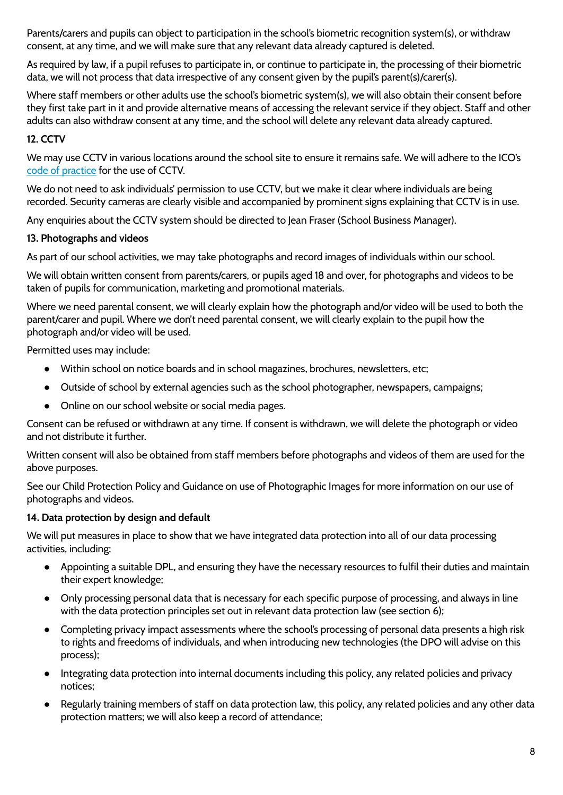Parents/carers and pupils can object to participation in the school's biometric recognition system(s), or withdraw consent, at any time, and we will make sure that any relevant data already captured is deleted.

As required by law, if a pupil refuses to participate in, or continue to participate in, the processing of their biometric data, we will not process that data irrespective of any consent given by the pupil's parent(s)/carer(s).

Where staff members or other adults use the school's biometric system(s), we will also obtain their consent before they first take part in it and provide alternative means of accessing the relevant service if they object. Staff and other adults can also withdraw consent at any time, and the school will delete any relevant data already captured.

## <span id="page-7-0"></span>**12. CCTV**

We may use CCTV in various locations around the school site to ensure it remains safe. We will adhere to the ICO's code of [practice](https://ico.org.uk/media/for-organisations/documents/1542/cctv-code-of-practice.pdf) for the use of CCTV.

We do not need to ask individuals' permission to use CCTV, but we make it clear where individuals are being recorded. Security cameras are clearly visible and accompanied by prominent signs explaining that CCTV is in use.

<span id="page-7-1"></span>Any enquiries about the CCTV system should be directed to Jean Fraser (School Business Manager).

### **13. Photographs and videos**

As part of our school activities, we may take photographs and record images of individuals within our school.

We will obtain written consent from parents/carers, or pupils aged 18 and over, for photographs and videos to be taken of pupils for communication, marketing and promotional materials.

Where we need parental consent, we will clearly explain how the photograph and/or video will be used to both the parent/carer and pupil. Where we don't need parental consent, we will clearly explain to the pupil how the photograph and/or video will be used.

Permitted uses may include:

- Within school on notice boards and in school magazines, brochures, newsletters, etc;
- Outside of school by external agencies such as the school photographer, newspapers, campaigns;
- Online on our school website or social media pages.

Consent can be refused or withdrawn at any time. If consent is withdrawn, we will delete the photograph or video and not distribute it further.

Written consent will also be obtained from staff members before photographs and videos of them are used for the above purposes.

<span id="page-7-2"></span>See our Child Protection Policy and Guidance on use of Photographic Images for more information on our use of photographs and videos.

### **14. Data protection by design and default**

We will put measures in place to show that we have integrated data protection into all of our data processing activities, including:

- Appointing a suitable DPL, and ensuring they have the necessary resources to fulfil their duties and maintain their expert knowledge;
- Only processing personal data that is necessary for each specific purpose of processing, and always in line with the data protection principles set out in relevant data protection law (see section 6);
- Completing privacy impact assessments where the school's processing of personal data presents a high risk to rights and freedoms of individuals, and when introducing new technologies (the DPO will advise on this process);
- Integrating data protection into internal documents including this policy, any related policies and privacy notices;
- Regularly training members of staff on data protection law, this policy, any related policies and any other data protection matters; we will also keep a record of attendance;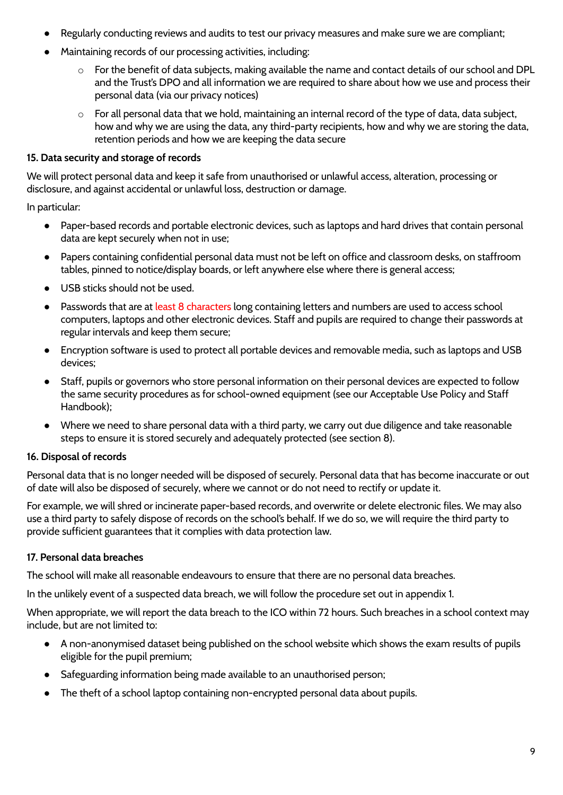- Regularly conducting reviews and audits to test our privacy measures and make sure we are compliant;
- Maintaining records of our processing activities, including:
	- o For the benefit of data subjects, making available the name and contact details of our school and DPL and the Trust's DPO and all information we are required to share about how we use and process their personal data (via our privacy notices)
	- o For all personal data that we hold, maintaining an internal record of the type of data, data subject, how and why we are using the data, any third-party recipients, how and why we are storing the data, retention periods and how we are keeping the data secure

### **15. Data security and storage of records**

We will protect personal data and keep it safe from unauthorised or unlawful access, alteration, processing or disclosure, and against accidental or unlawful loss, destruction or damage.

In particular:

- Paper-based records and portable electronic devices, such as laptops and hard drives that contain personal data are kept securely when not in use;
- Papers containing confidential personal data must not be left on office and classroom desks, on staffroom tables, pinned to notice/display boards, or left anywhere else where there is general access;
- USB sticks should not be used.
- Passwords that are at least 8 characters long containing letters and numbers are used to access school computers, laptops and other electronic devices. Staff and pupils are required to change their passwords at regular intervals and keep them secure;
- Encryption software is used to protect all portable devices and removable media, such as laptops and USB devices;
- Staff, pupils or governors who store personal information on their personal devices are expected to follow the same security procedures as for school-owned equipment (see our Acceptable Use Policy and Staff Handbook);
- Where we need to share personal data with a third party, we carry out due diligence and take reasonable steps to ensure it is stored securely and adequately protected (see section 8).

# <span id="page-8-0"></span>**16. Disposal of records**

Personal data that is no longer needed will be disposed of securely. Personal data that has become inaccurate or out of date will also be disposed of securely, where we cannot or do not need to rectify or update it.

For example, we will shred or incinerate paper-based records, and overwrite or delete electronic files. We may also use a third party to safely dispose of records on the school's behalf. If we do so, we will require the third party to provide sufficient guarantees that it complies with data protection law.

# <span id="page-8-1"></span>**17. Personal data breaches**

The school will make all reasonable endeavours to ensure that there are no personal data breaches.

In the unlikely event of a suspected data breach, we will follow the procedure set out in appendix 1.

When appropriate, we will report the data breach to the ICO within 72 hours. Such breaches in a school context may include, but are not limited to:

- A non-anonymised dataset being published on the school website which shows the exam results of pupils eligible for the pupil premium;
- Safeguarding information being made available to an unauthorised person;
- The theft of a school laptop containing non-encrypted personal data about pupils.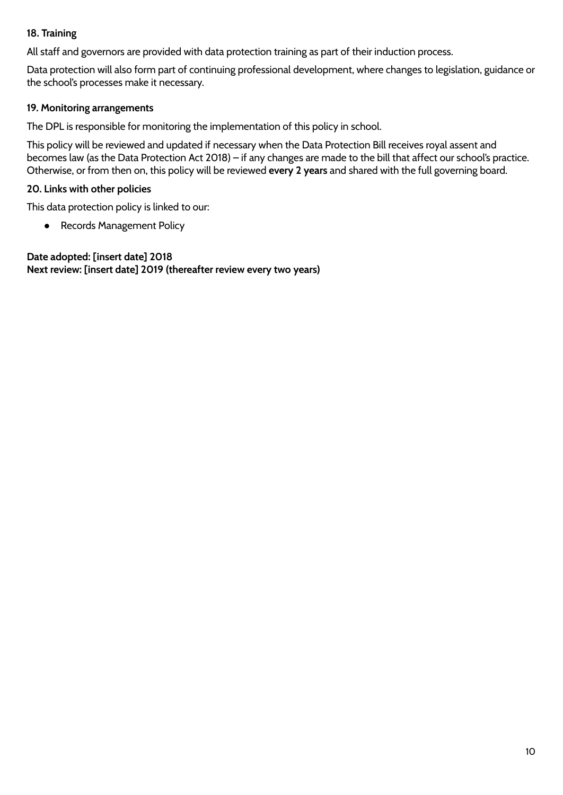### **18. Training**

All staff and governors are provided with data protection training as part of their induction process.

Data protection will also form part of continuing professional development, where changes to legislation, guidance or the school's processes make it necessary.

## **19. Monitoring arrangements**

The DPL is responsible for monitoring the implementation of this policy in school.

This policy will be reviewed and updated if necessary when the Data Protection Bill receives royal assent and becomes law (as the Data Protection Act 2018) – if any changes are made to the bill that affect our school's practice. Otherwise, or from then on, this policy will be reviewed **every 2 years** and shared with the full governing board.

### **20. Links with other policies**

This data protection policy is linked to our:

● Records Management Policy

**Date adopted: [insert date] 2018 Next review: [insert date] 2019 (thereafter review every two years)**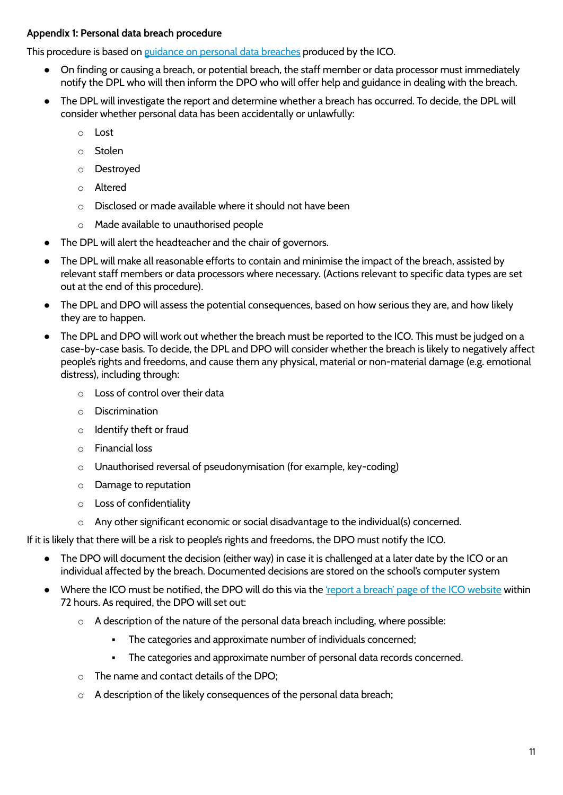### <span id="page-10-0"></span>**Appendix 1: Personal data breach procedure**

This procedure is based on [guidance](https://ico.org.uk/for-organisations/guide-to-the-general-data-protection-regulation-gdpr/personal-data-breaches/) on personal data breaches produced by the ICO.

- On finding or causing a breach, or potential breach, the staff member or data processor must immediately notify the DPL who will then inform the DPO who will offer help and guidance in dealing with the breach.
- The DPL will investigate the report and determine whether a breach has occurred. To decide, the DPL will consider whether personal data has been accidentally or unlawfully:
	- o Lost
	- o Stolen
	- o Destroyed
	- o Altered
	- o Disclosed or made available where it should not have been
	- o Made available to unauthorised people
- The DPL will alert the headteacher and the chair of governors.
- The DPL will make all reasonable efforts to contain and minimise the impact of the breach, assisted by relevant staff members or data processors where necessary. (Actions relevant to specific data types are set out at the end of this procedure).
- The DPL and DPO will assess the potential consequences, based on how serious they are, and how likely they are to happen.
- The DPL and DPO will work out whether the breach must be reported to the ICO. This must be judged on a case-by-case basis. To decide, the DPL and DPO will consider whether the breach is likely to negatively affect people's rights and freedoms, and cause them any physical, material or non-material damage (e.g. emotional distress), including through:
	- o Loss of control over their data
	- o Discrimination
	- o Identify theft or fraud
	- o Financial loss
	- o Unauthorised reversal of pseudonymisation (for example, key-coding)
	- o Damage to reputation
	- o Loss of confidentiality
	- o Any other significant economic or social disadvantage to the individual(s) concerned.

If it is likely that there will be a risk to people's rights and freedoms, the DPO must notify the ICO.

- The DPO will document the decision (either way) in case it is challenged at a later date by the ICO or an individual affected by the breach. Documented decisions are stored on the school's computer system
- Where the ICO must be notified, the DPO will do this via the 'report a breach' page of the ICO [website](https://ico.org.uk/for-organisations/report-a-breach/) within 72 hours. As required, the DPO will set out:
	- o A description of the nature of the personal data breach including, where possible:
		- The categories and approximate number of individuals concerned;
		- The categories and approximate number of personal data records concerned.
	- $\circ$  The name and contact details of the DPO:
	- o A description of the likely consequences of the personal data breach;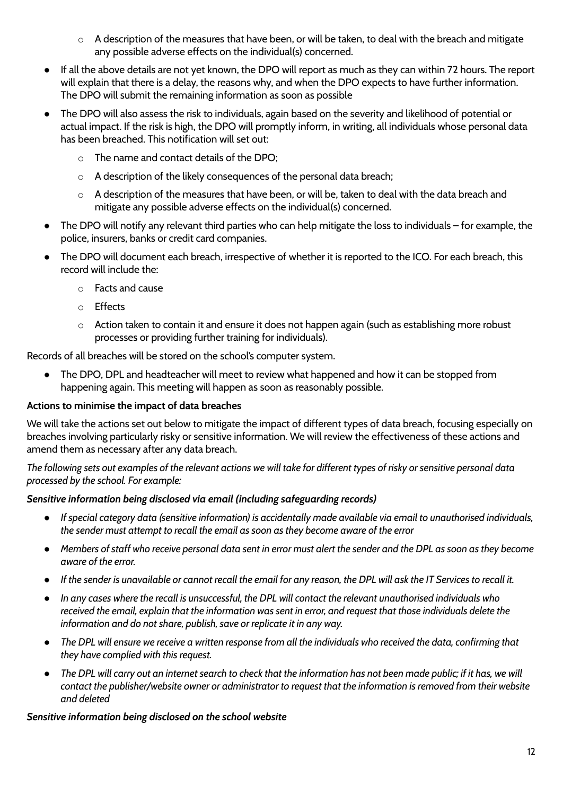- o A description of the measures that have been, or will be taken, to deal with the breach and mitigate any possible adverse effects on the individual(s) concerned.
- If all the above details are not yet known, the DPO will report as much as they can within 72 hours. The report will explain that there is a delay, the reasons why, and when the DPO expects to have further information. The DPO will submit the remaining information as soon as possible
- The DPO will also assess the risk to individuals, again based on the severity and likelihood of potential or actual impact. If the risk is high, the DPO will promptly inform, in writing, all individuals whose personal data has been breached. This notification will set out:
	- o The name and contact details of the DPO;
	- o A description of the likely consequences of the personal data breach;
	- o A description of the measures that have been, or will be, taken to deal with the data breach and mitigate any possible adverse effects on the individual(s) concerned.
- The DPO will notify any relevant third parties who can help mitigate the loss to individuals for example, the police, insurers, banks or credit card companies.
- The DPO will document each breach, irrespective of whether it is reported to the ICO. For each breach, this record will include the:
	- o Facts and cause
	- o Effects
	- o Action taken to contain it and ensure it does not happen again (such as establishing more robust processes or providing further training for individuals).

Records of all breaches will be stored on the school's computer system.

● The DPO, DPL and headteacher will meet to review what happened and how it can be stopped from happening again. This meeting will happen as soon as reasonably possible.

### **Actions to minimise the impact of data breaches**

We will take the actions set out below to mitigate the impact of different types of data breach, focusing especially on breaches involving particularly risky or sensitive information. We will review the effectiveness of these actions and amend them as necessary after any data breach.

The following sets out examples of the relevant actions we will take for different types of risky or sensitive personal data *processed by the school. For example:*

### *Sensitive information being disclosed via email (including safeguarding records)*

- If special category data (sensitive information) is accidentally made available via email to unauthorised individuals, *the sender must attempt to recall the email as soon as they become aware of the error*
- Members of staff who receive personal data sent in error must alert the sender and the DPL as soon as they become *aware of the error.*
- If the sender is unavailable or cannot recall the email for any reason, the DPL will ask the IT Services to recall it.
- In any cases where the recall is unsuccessful, the DPL will contact the relevant unauthorised individuals who received the email, explain that the information was sent in error, and request that those individuals delete the *information and do not share, publish, save or replicate it in any way.*
- The DPL will ensure we receive a written response from all the individuals who received the data, confirming that *they have complied with this request.*
- The DPL will carry out an internet search to check that the information has not been made public; if it has, we will contact the publisher/website owner or administrator to request that the information is removed from their website *and deleted*

#### *Sensitive information being disclosed on the school website*